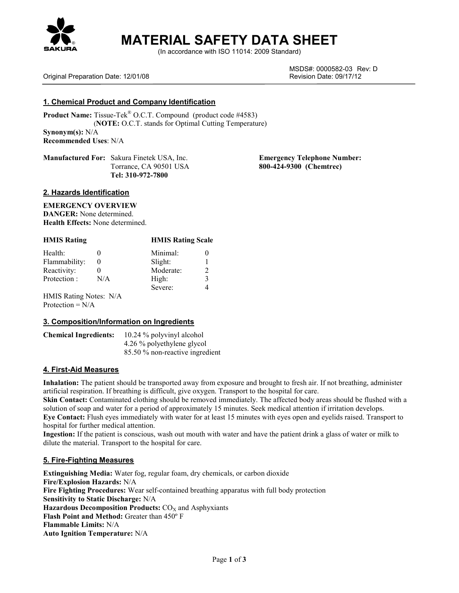

# **MATERIAL SAFETY DATA SHEET**

(In accordance with ISO 11014: 2009 Standard)

MSDS#: 0000582-03 Rev: D

# Original Preparation Date: 12/01/08 Revision Date: 09/17/12

# **1. Chemical Product and Company Identification**

**Product Name:** Tissue-Tek® O.C.T. Compound (product code #4583) (**NOTE:** O.C.T. stands for Optimal Cutting Temperature) **Synonym(s):** N/A **Recommended Uses**: N/A

**Manufactured For:** Sakura Finetek USA, Inc. **Emergency Telephone Number: Tel: 310-972-7800**

Torrance, CA 90501 USA **800-424-9300 (Chemtrec)**

## **2. Hazards Identification**

# **EMERGENCY OVERVIEW**

**DANGER:** None determined. **Health Effects:** None determined.

| <b>HMIS Rating</b>     |          | <b>HMIS Rating Scale</b> |   |
|------------------------|----------|--------------------------|---|
| Health:                | 0        | Minimal:                 |   |
| Flammability:          | $\theta$ | Slight:                  |   |
| Reactivity:            | $_{0}$   | Moderate:                | 2 |
| Protection :           | N/A      | High:                    | 3 |
|                        |          | Severe:                  |   |
| HMIS Rating Notes: N/A |          |                          |   |
| Protection = $N/A$     |          |                          |   |

#### **3. Composition/Information on Ingredients**

| <b>Chemical Ingredients:</b> | 10.24 % polyvinyl alcohol       |
|------------------------------|---------------------------------|
|                              | 4.26 % polyethylene glycol      |
|                              | 85.50 % non-reactive ingredient |

# **4. First-Aid Measures**

**Inhalation:** The patient should be transported away from exposure and brought to fresh air. If not breathing, administer artificial respiration. If breathing is difficult, give oxygen. Transport to the hospital for care.

**Skin Contact:** Contaminated clothing should be removed immediately. The affected body areas should be flushed with a solution of soap and water for a period of approximately 15 minutes. Seek medical attention if irritation develops. **Eye Contact:** Flush eyes immediately with water for at least 15 minutes with eyes open and eyelids raised. Transport to hospital for further medical attention.

**Ingestion:** If the patient is conscious, wash out mouth with water and have the patient drink a glass of water or milk to dilute the material. Transport to the hospital for care.

# **5. Fire-Fighting Measures**

**Extinguishing Media:** Water fog, regular foam, dry chemicals, or carbon dioxide **Fire/Explosion Hazards:** N/A **Fire Fighting Procedures:** Wear self-contained breathing apparatus with full body protection **Sensitivity to Static Discharge:** N/A **Hazardous Decomposition Products:** CO<sub>x</sub> and Asphyxiants **Flash Point and Method:** Greater than 450º F **Flammable Limits:** N/A **Auto Ignition Temperature:** N/A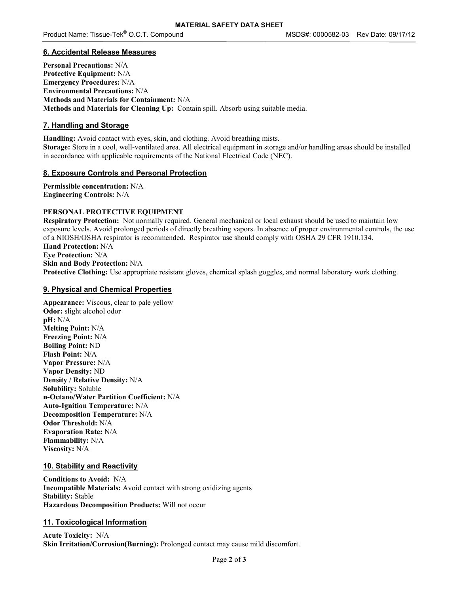## **6. Accidental Release Measures**

**Personal Precautions:** N/A **Protective Equipment:** N/A **Emergency Procedures:** N/A **Environmental Precautions:** N/A **Methods and Materials for Containment:** N/A **Methods and Materials for Cleaning Up:** Contain spill. Absorb using suitable media.

# **7. Handling and Storage**

**Handling:** Avoid contact with eyes, skin, and clothing. Avoid breathing mists. **Storage:** Store in a cool, well-ventilated area. All electrical equipment in storage and/or handling areas should be installed in accordance with applicable requirements of the National Electrical Code (NEC).

## **8. Exposure Controls and Personal Protection**

**Permissible concentration:** N/A **Engineering Controls:** N/A

## **PERSONAL PROTECTIVE EQUIPMENT**

**Respiratory Protection:** Not normally required. General mechanical or local exhaust should be used to maintain low exposure levels. Avoid prolonged periods of directly breathing vapors. In absence of proper environmental controls, the use of a NIOSH/OSHA respirator is recommended. Respirator use should comply with OSHA 29 CFR 1910.134. **Hand Protection:** N/A **Eye Protection:** N/A **Skin and Body Protection:** N/A **Protective Clothing:** Use appropriate resistant gloves, chemical splash goggles, and normal laboratory work clothing.

## **9. Physical and Chemical Properties**

**Appearance:** Viscous, clear to pale yellow **Odor:** slight alcohol odor **pH:** N/A **Melting Point:** N/A **Freezing Point:** N/A **Boiling Point:** ND **Flash Point:** N/A **Vapor Pressure:** N/A **Vapor Density:** ND **Density / Relative Density:** N/A **Solubility:** Soluble **n-Octano/Water Partition Coefficient:** N/A **Auto-Ignition Temperature:** N/A **Decomposition Temperature:** N/A **Odor Threshold:** N/A **Evaporation Rate:** N/A **Flammability:** N/A **Viscosity:** N/A

#### **10. Stability and Reactivity**

**Conditions to Avoid:** N/A **Incompatible Materials:** Avoid contact with strong oxidizing agents **Stability:** Stable **Hazardous Decomposition Products:** Will not occur

# **11. Toxicological Information**

**Acute Toxicity:** N/A **Skin Irritation/Corrosion(Burning):** Prolonged contact may cause mild discomfort.